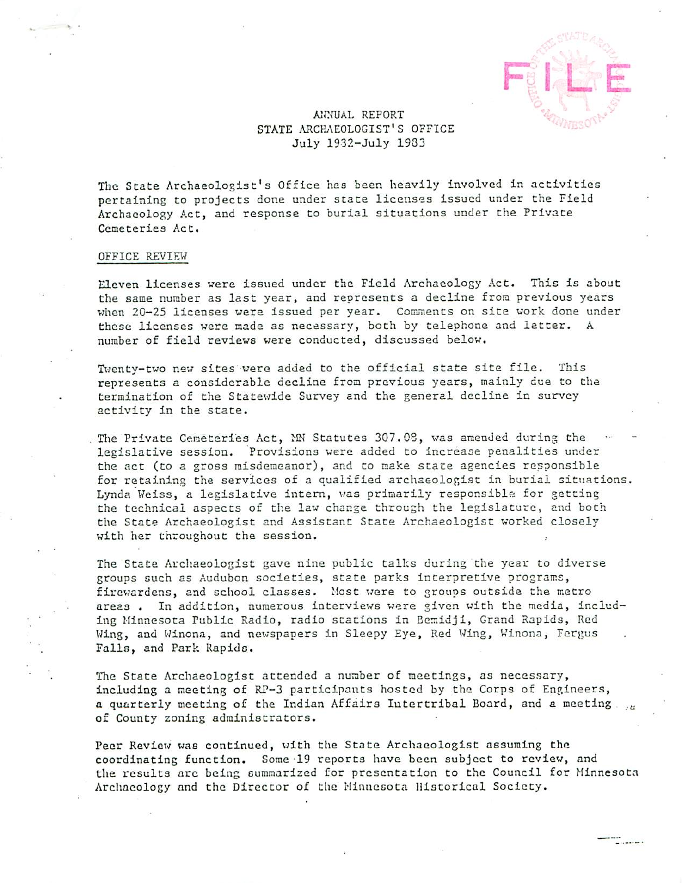L E

---<br>--------

## A1WUAL REPORT STATE ARCHAEOLOGIST'S OFFICE July 1932-July 1933

The State Archaeologist's Office has been heavily involved in activities pertaining to projects done under stace licenses issued under the Field Archaeology Act, and response to burial situations under the Private Cemeteries Act.

## OFFICE REVIEW

Eleven licenses were issued under the Field Archaeology Act. This is about the same number as last year, and represents decline from previous years when 20-25 licenses were issued per year. Comments on site work done under these licenses were made as necessary, both by telephone and letter. number of field reviews were conducted, discussed below.

Twenty-two new sites were added to the official state site file. This represents a considerable decline from previous years, mainly due to the termination of the Statewide Survey and the general decline in survey activity in the state.

The Private Cemeteries Act, MN Statutes 307.08, was amended during the legislative session. Provisions were added to increase penalities under the act (to a gross misdemeanor), and to make state agencies responsible for retaining the services of qualified archaeologist in burial situations. Lynda Weiss, a legislative intern, was primarily responsible for getting the technical aspects of the law change through the legislature, and both the State Archaeologist and Assistant State Archaeologist worked closely with her throughout the session.

The State Archaeologist gave nine public talks during the year to diverse groups such as Audubon societies, state parks interpretive programs, firewardens, and school classes. Most were to groups outside the metro areas. In addition, numerous interviews were given with the media, including Minnesota Public Radio, radio stations in Bemidji, Grand Rapids, Red Wing, and Winona, and newspapers in Sleepy Eye, Red Wing, Winona, Fergus Falls, and Park Rapids.

The State Archaeologist attended a number of meetings, as necessary, including a meeting of RP-3 participants hosted by the Corps of Engineers, a quarterly meeting of the Indian Affairs Intertribal Board, and a meeting ... of County zoning administrators.

Peer Review was continued, with the State Archaeologist assuming the coordinating function. Some 19 reports have been subject to review, and the results arc being summarized for presentation to the Council for Minnesota Archaeology and the Director of the Minnccota Historical Society.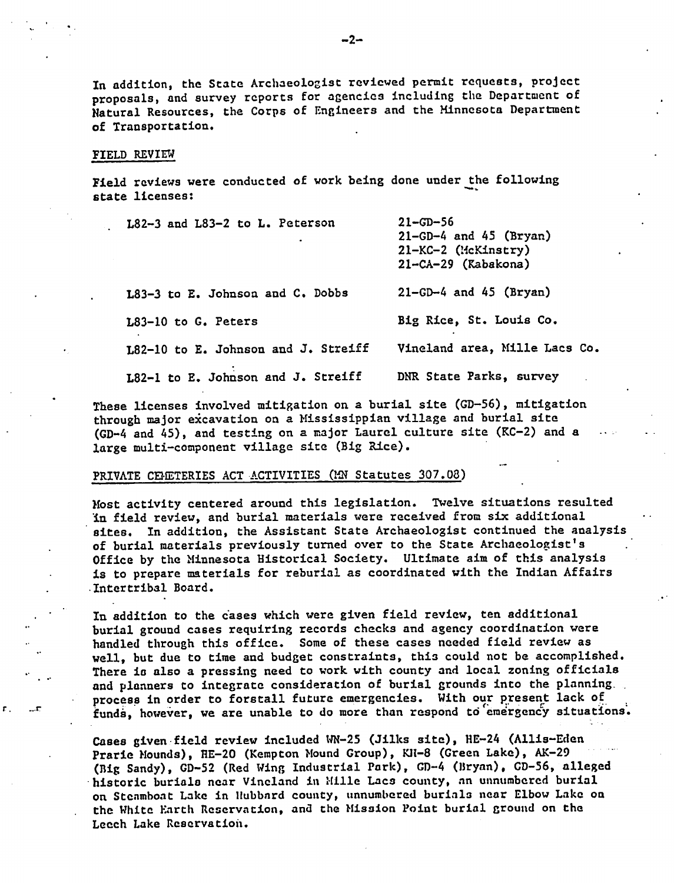In addition, the State Archaeologist reviewed permit requests, project proposals, and survey reports for agencies including the Department of Natural Resources, the Corps of Engineers and the Minnesota Department of Transportation.

#### FIELD REVIEW

Field reviews were conducted of work being done under the following state licenses:

| L82-3 and L83-2 to L. Peterson      | $21 - 56$<br>$21-GD-4$ and $45$ (Bryan)<br>21-KC-2 (McKinstry)<br>$21 - CA - 29$ (Kabakona) |
|-------------------------------------|---------------------------------------------------------------------------------------------|
| L83-3 to E. Johnson and C. Dobbs    | $21-GD-4$ and $45$ (Bryan)                                                                  |
| L83-10 to G. Peters                 | Big Rice, St. Louis Co.                                                                     |
| L82-10 to E. Johnson and J. Streiff | Vineland area, Mille Lacs Co.                                                               |
| L82-1 to E. Johnson and J. Streiff  | DNR State Parks, survey                                                                     |

These licenses involved mitigation on a burial site (GD-56), mitigation through major excavation on a Mississippian village and burial site (GD-4 and 45), and testing on a major Laurel culture site (KC-2) and a large multi-component village site (Big Rice).

# PRIVATE CEMETERIES ACT ACTIVITIES (MN Statutes 307.08)

Host activity centered around this legislation. Twelve situations resulted in field review, and burial materials were received from six additional sites. In addition, the Assistant State Archaeologist continued the analysis of burial materials previously turned over to the State Archaeologist's Office by the Minnesota Historical Society. Ultimate aim of this analysis is to prepare materials for reburial as coordinated with the Indian Affairs •Intertribal Board.

In addition to the cases which were given field review, ten additional burial ground cases requiring records checks and agency coordination were handled through this office. Some of these cases needed field review as well, but due to time and budget constraints, this could not be accomplished. There is also a pressing need to work with county and local zoning officials and planners to integrate consideration of burial grounds into the planning. process in order to forstall future emergencies. With our present lack of funds, however, we are unable to do more than respond to emergency situations.

Cases given field review included WN-25 (Jilks site), HE-24 (Allis-Eden Prarie Mounds), HE-20 (Kempton Mound Group), Kll-8 (Green Lake), AK-29 (Big Sandy), GD-52 (Red Wing Industrial Park), GD-4 (Bryan), CD-56, alleged historic burials near Vineland in Mille Lacs county, an unnumbered burial on Steamboat Lake in Hubbard county, unnumbered burials near Elbow Lake on the White Karth Reservation, and the Mission Point burial ground on the Leech Lake Reservation.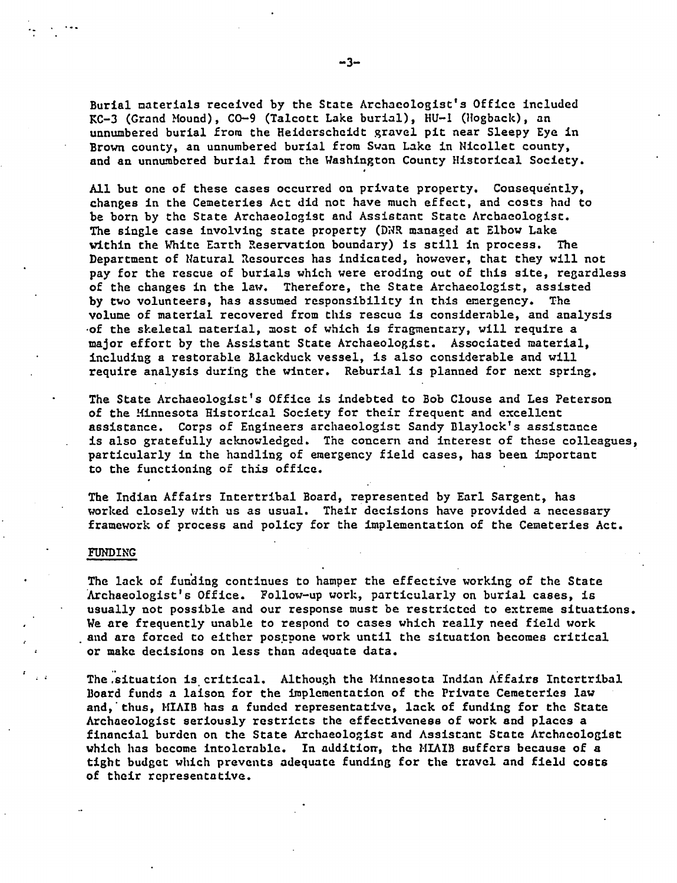Burial materials received by the State Archaeologist's Office included KC-3 (Grand Mound), CO-9 (Talcott Lake burial), HU-1 (Hogback), an unnumbered burial from the Heiderscheidt gravel pit near Sleepy Eye in Brown county, an unnumbered burial from Swan Lake in Nicollet county, and an unnumbered burial from the Washington County Historical Society.

All but one of these cases occurred on private property. Consequently, changes in the Cemeteries Act did not have much effect, and costs had to be born by the State Archaeologist and Assistant State Archaeologist. The single case involving state property (DNR managed at Elbow Lake vithin the White Earth Reservation boundary) is still in process. The Department of Natural Resources has indicated, however, that they will not pay for the rescue of burials which were eroding out of this site, regardless of the changes in the law. Therefore, the State Archaeologist, assisted by two volunteers, has assumed responsibility in this emergency. The volume of material recovered from this rescue is considerable, and analysis •of the skeletal material, most of which is fragmentary, will require major effort by the Assistant State Archaeologist. Associated material, including a restorable Blackduck vessel, is also considerable and will require analysis during the winter. Reburial is planned for next spring.

The State Archaeologist's Office is indebted to Bob Clouse and Les Peterson of the Minnesota Historical Society for their frequent and excellent assistance. Corps of Engineers archaeologist Sandy Blaylock's assistance is also gratefully acknowledged. The concern and interest of these colleagues, particularly in the handling of emergency field cases, has been important to the functioning of this office.

The Indian Affairs Intertribal Board, represented by Earl Sargent, has worked closely with us as usual. Their decisions have provided a necessary framework of process and policy for the implementation of the Cemeteries Act.

## FUNDING

The lack of funding continues to hamper the effective working of the State Archaeologist's Office. Follow-up work, particularly on burial cases, is usually not possible and our response must be restricted to extreme situations. We are frequently unable to respond to cases which really need field work and arc forced to either postpone work until the situation becomes critical or make decisions on less than adequate data.

The .situation is critical. Although the Minnesota Indian Affairs Intertribal Board funds a laison for the implementation of the Private Cemeteries law and, thus, MIAIB has a funded representative, lack of funding for the State Archaeologist seriously restricts the effectiveness of work and places financial burden on the State Archaeologist and Assistant State Archaeologist which has become intolerable. In addition, the MIAIB suffers because of a tight budget which prevents adequate funding for the travel and field costs of their representative.